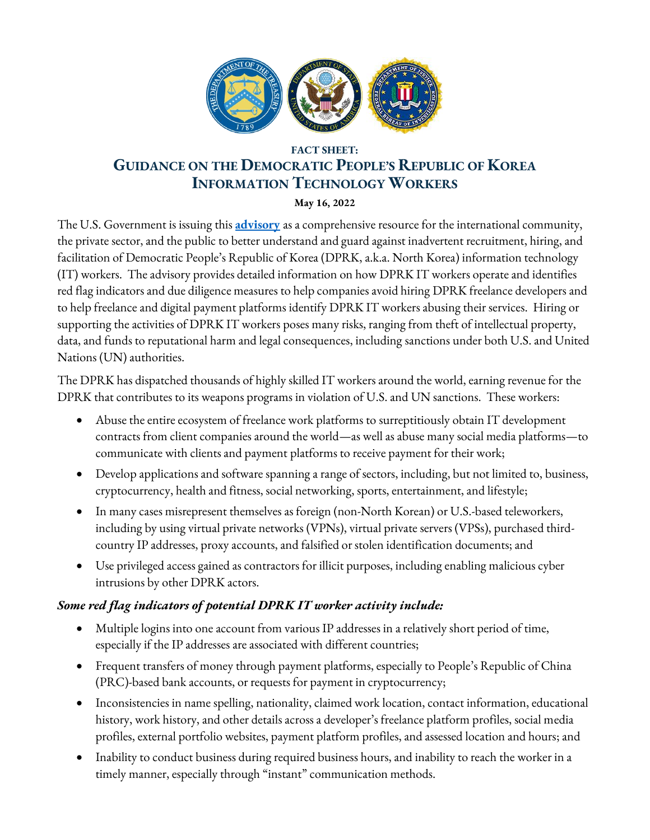

## **FACT SHEET: GUIDANCE ON THE DEMOCRATIC PEOPLE'S REPUBLIC OF KOREA INFORMATION TECHNOLOGY WORKERS**

**May 16, 2022**

The U.S. Government is issuing this **[advisory](https://home.treasury.gov/system/files/126/20220516_dprk_it_worker_advisory.pdf)** as a comprehensive resource for the international community, the private sector, and the public to better understand and guard against inadvertent recruitment, hiring, and facilitation of Democratic People's Republic of Korea (DPRK, a.k.a. North Korea) information technology (IT) workers. The advisory provides detailed information on how DPRK IT workers operate and identifies red flag indicators and due diligence measures to help companies avoid hiring DPRK freelance developers and to help freelance and digital payment platforms identify DPRK IT workers abusing their services. Hiring or supporting the activities of DPRK IT workers poses many risks, ranging from theft of intellectual property, data, and funds to reputational harm and legal consequences, including sanctions under both U.S. and United Nations (UN) authorities.

The DPRK has dispatched thousands of highly skilled IT workers around the world, earning revenue for the DPRK that contributes to its weapons programs in violation of U.S. and UN sanctions. These workers:

- Abuse the entire ecosystem of freelance work platforms to surreptitiously obtain IT development contracts from client companies around the world—as well as abuse many social media platforms—to communicate with clients and payment platforms to receive payment for their work;
- Develop applications and software spanning a range of sectors, including, but not limited to, business, cryptocurrency, health and fitness, social networking, sports, entertainment, and lifestyle;
- In many cases misrepresent themselves as foreign (non-North Korean) or U.S.-based teleworkers, including by using virtual private networks (VPNs), virtual private servers (VPSs), purchased thirdcountry IP addresses, proxy accounts, and falsified or stolen identification documents; and
- Use privileged access gained as contractors for illicit purposes, including enabling malicious cyber intrusions by other DPRK actors.

## *Some red flag indicators of potential DPRK IT worker activity include:*

- Multiple logins into one account from various IP addresses in a relatively short period of time, especially if the IP addresses are associated with different countries;
- Frequent transfers of money through payment platforms, especially to People's Republic of China (PRC)-based bank accounts, or requests for payment in cryptocurrency;
- Inconsistencies in name spelling, nationality, claimed work location, contact information, educational history, work history, and other details across a developer's freelance platform profiles, social media profiles, external portfolio websites, payment platform profiles, and assessed location and hours; and
- Inability to conduct business during required business hours, and inability to reach the worker in a timely manner, especially through "instant" communication methods.